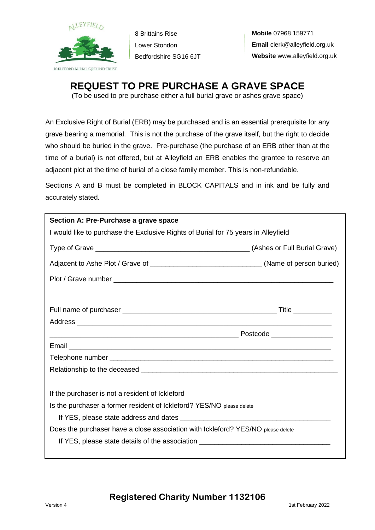

8 Brittains Rise Lower Stondon Bedfordshire SG16 6JT

## **REQUEST TO PRE PURCHASE A GRAVE SPACE**

(To be used to pre purchase either a full burial grave or ashes grave space)

An Exclusive Right of Burial (ERB) may be purchased and is an essential prerequisite for any grave bearing a memorial. This is not the purchase of the grave itself, but the right to decide who should be buried in the grave. Pre-purchase (the purchase of an ERB other than at the time of a burial) is not offered, but at Alleyfield an ERB enables the grantee to reserve an adjacent plot at the time of burial of a close family member. This is non-refundable.

Sections A and B must be completed in BLOCK CAPITALS and in ink and be fully and accurately stated.

| Section A: Pre-Purchase a grave space                                              |  |
|------------------------------------------------------------------------------------|--|
| I would like to purchase the Exclusive Rights of Burial for 75 years in Alleyfield |  |
|                                                                                    |  |
|                                                                                    |  |
|                                                                                    |  |
|                                                                                    |  |
|                                                                                    |  |
|                                                                                    |  |
|                                                                                    |  |
|                                                                                    |  |
|                                                                                    |  |
| If the purchaser is not a resident of Ickleford                                    |  |
| Is the purchaser a former resident of Ickleford? YES/NO please delete              |  |
|                                                                                    |  |
| Does the purchaser have a close association with Ickleford? YES/NO please delete   |  |
| If YES, please state details of the association ________________________________   |  |
|                                                                                    |  |